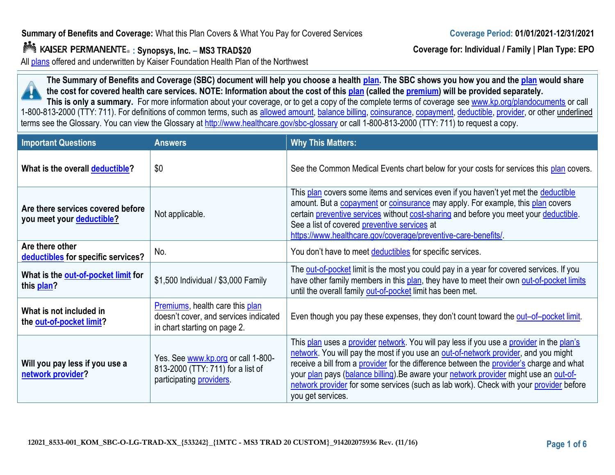## **Summary of Benefits and Coverage:** What this Plan Covers & What You Pay for Covered Services

**: Synopsys, Inc. – MS3 TRAD\$20**

All [plans](https://www.healthcare.gov/sbc-glossary/#plan) offered and underwritten by Kaiser Foundation Health Plan of the Northwest

**The Summary of Benefits and Coverage (SBC) document will help you choose a healt[h plan](https://www.healthcare.gov/sbc-glossary/#plan). The SBC shows you how you and th[e plan](https://www.healthcare.gov/sbc-glossary/#plan) would share the cost for covered health care services. NOTE: Information about the cost of this [plan](https://www.healthcare.gov/sbc-glossary/#plan) (called the [premium\)](https://www.healthcare.gov/sbc-glossary/#premium) will be provided separately.** This is only a summary. For more information about your coverage, or to get a copy of the complete terms of coverage se[e www.kp.org/plandocuments](http://www.kp.org/plandocuments) or call

1-800-813-2000 (TTY: 711). For definitions of common terms, such as [allowed amount,](https://www.healthcare.gov/sbc-glossary/#allowed-amount) [balance billing,](https://www.healthcare.gov/sbc-glossary/#balance-billing) [coinsurance,](https://www.healthcare.gov/sbc-glossary/#coinsurance) [copayment,](https://www.healthcare.gov/sbc-glossary/#copayment) [deductible,](https://www.healthcare.gov/sbc-glossary/#deductible) [provider,](https://www.healthcare.gov/sbc-glossary/#provider) or other underlined terms see the Glossary. You can view the Glossary at <http://www.healthcare.gov/sbc-glossary> or call 1-800-813-2000 (TTY: 711) to request a copy.

| <b>Important Questions</b>                                     | <b>Answers</b>                                                                                            | <b>Why This Matters:</b>                                                                                                                                                                                                                                                                                                                                                                                                                                                            |
|----------------------------------------------------------------|-----------------------------------------------------------------------------------------------------------|-------------------------------------------------------------------------------------------------------------------------------------------------------------------------------------------------------------------------------------------------------------------------------------------------------------------------------------------------------------------------------------------------------------------------------------------------------------------------------------|
| What is the overall deductible?                                | \$0                                                                                                       | See the Common Medical Events chart below for your costs for services this plan covers.                                                                                                                                                                                                                                                                                                                                                                                             |
| Are there services covered before<br>you meet your deductible? | Not applicable.                                                                                           | This plan covers some items and services even if you haven't yet met the deductible<br>amount. But a copayment or coinsurance may apply. For example, this plan covers<br>certain preventive services without cost-sharing and before you meet your deductible.<br>See a list of covered preventive services at<br>https://www.healthcare.gov/coverage/preventive-care-benefits/.                                                                                                   |
| Are there other<br>deductibles for specific services?          | No.                                                                                                       | You don't have to meet deductibles for specific services.                                                                                                                                                                                                                                                                                                                                                                                                                           |
| What is the out-of-pocket limit for<br>this plan?              | \$1,500 Individual / \$3,000 Family                                                                       | The out-of-pocket limit is the most you could pay in a year for covered services. If you<br>have other family members in this plan, they have to meet their own out-of-pocket limits<br>until the overall family out-of-pocket limit has been met.                                                                                                                                                                                                                                  |
| What is not included in<br>the out-of-pocket limit?            | Premiums, health care this plan<br>doesn't cover, and services indicated<br>in chart starting on page 2.  | Even though you pay these expenses, they don't count toward the out-of-pocket limit.                                                                                                                                                                                                                                                                                                                                                                                                |
| Will you pay less if you use a<br>network provider?            | Yes. See www.kp.org or call 1-800-<br>813-2000 (TTY: 711) for a list of<br>participating <b>providers</b> | This plan uses a provider network. You will pay less if you use a provider in the plan's<br>network. You will pay the most if you use an out-of-network provider, and you might<br>receive a bill from a provider for the difference between the provider's charge and what<br>your plan pays (balance billing). Be aware your network provider might use an out-of-<br>network provider for some services (such as lab work). Check with your provider before<br>you get services. |



**Coverage for: Individual / Family | Plan Type: EPO**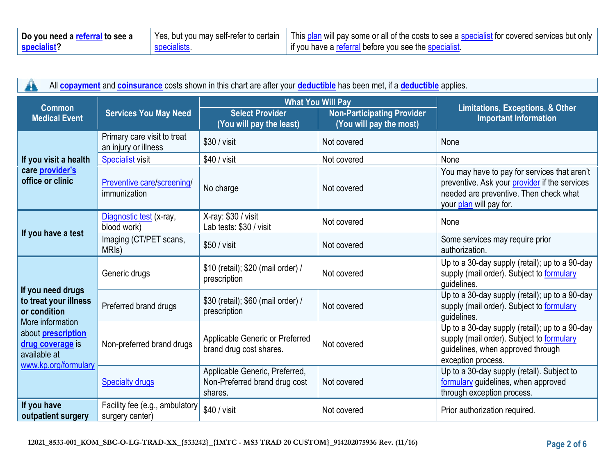| Do you need a referral to see a | Yes, but you may self-refer to certain   This plan will pay some or all of the costs to see a specialist for covered services but only |
|---------------------------------|----------------------------------------------------------------------------------------------------------------------------------------|
| specialist?                     | I if you have a referral before you see the specialist.                                                                                |

| All copayment and coinsurance costs shown in this chart are after your deductible has been met, if a deductible applies.                                                |                                                     |                                                                            |                                                              |                                                                                                                                                                    |  |
|-------------------------------------------------------------------------------------------------------------------------------------------------------------------------|-----------------------------------------------------|----------------------------------------------------------------------------|--------------------------------------------------------------|--------------------------------------------------------------------------------------------------------------------------------------------------------------------|--|
| <b>Common</b>                                                                                                                                                           | <b>Services You May Need</b>                        |                                                                            | <b>What You Will Pay</b>                                     | <b>Limitations, Exceptions, &amp; Other</b><br><b>Important Information</b>                                                                                        |  |
| <b>Medical Event</b>                                                                                                                                                    |                                                     | <b>Select Provider</b><br>(You will pay the least)                         | <b>Non-Participating Provider</b><br>(You will pay the most) |                                                                                                                                                                    |  |
|                                                                                                                                                                         | Primary care visit to treat<br>an injury or illness | $$30 / v$ isit                                                             | Not covered                                                  | None                                                                                                                                                               |  |
| If you visit a health                                                                                                                                                   | <b>Specialist visit</b>                             | $$40 / v$ isit                                                             | Not covered                                                  | None                                                                                                                                                               |  |
| care provider's<br>office or clinic                                                                                                                                     | Preventive care/screening/<br>immunization          | No charge                                                                  | Not covered                                                  | You may have to pay for services that aren't<br>preventive. Ask your provider if the services<br>needed are preventive. Then check what<br>your plan will pay for. |  |
| If you have a test                                                                                                                                                      | Diagnostic test (x-ray,<br>blood work)              | X-ray: \$30 / visit<br>Lab tests: \$30 / visit                             | Not covered                                                  | None                                                                                                                                                               |  |
|                                                                                                                                                                         | Imaging (CT/PET scans,<br>MRI <sub>s</sub> )        | \$50 / visit                                                               | Not covered                                                  | Some services may require prior<br>authorization.                                                                                                                  |  |
| If you need drugs<br>to treat your illness<br>or condition<br>More information<br>about <b>prescription</b><br>drug coverage is<br>available at<br>www.kp.org/formulary | Generic drugs                                       | \$10 (retail); \$20 (mail order) /<br>prescription                         | Not covered                                                  | Up to a 30-day supply (retail); up to a 90-day<br>supply (mail order). Subject to formulary<br>quidelines.                                                         |  |
|                                                                                                                                                                         | Preferred brand drugs                               | \$30 (retail); \$60 (mail order) /<br>prescription                         | Not covered                                                  | Up to a 30-day supply (retail); up to a 90-day<br>supply (mail order). Subject to formulary<br>guidelines.                                                         |  |
|                                                                                                                                                                         | Non-preferred brand drugs                           | Applicable Generic or Preferred<br>brand drug cost shares.                 | Not covered                                                  | Up to a 30-day supply (retail); up to a 90-day<br>supply (mail order). Subject to formulary<br>guidelines, when approved through<br>exception process.             |  |
|                                                                                                                                                                         | <b>Specialty drugs</b>                              | Applicable Generic, Preferred,<br>Non-Preferred brand drug cost<br>shares. | Not covered                                                  | Up to a 30-day supply (retail). Subject to<br>formulary guidelines, when approved<br>through exception process.                                                    |  |
| If you have<br>outpatient surgery                                                                                                                                       | Facility fee (e.g., ambulatory<br>surgery center)   | \$40 / visit                                                               | Not covered                                                  | Prior authorization required.                                                                                                                                      |  |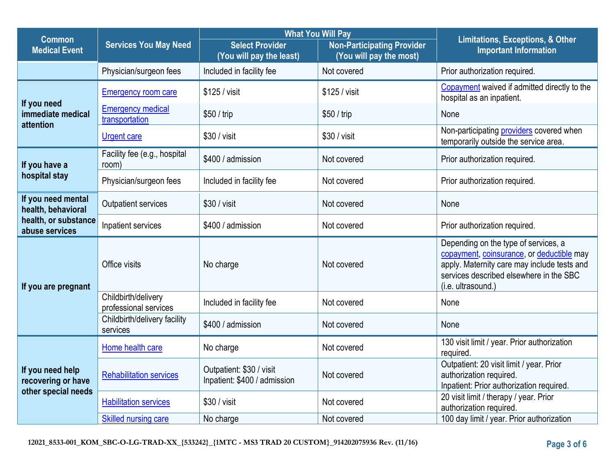|                                                               |                                              | <b>What You Will Pay</b>                                 |                                                              |                                                                                                                                                                                                   |
|---------------------------------------------------------------|----------------------------------------------|----------------------------------------------------------|--------------------------------------------------------------|---------------------------------------------------------------------------------------------------------------------------------------------------------------------------------------------------|
| <b>Common</b><br><b>Medical Event</b>                         | <b>Services You May Need</b>                 | <b>Select Provider</b><br>(You will pay the least)       | <b>Non-Participating Provider</b><br>(You will pay the most) | <b>Limitations, Exceptions, &amp; Other</b><br><b>Important Information</b>                                                                                                                       |
|                                                               | Physician/surgeon fees                       | Included in facility fee                                 | Not covered                                                  | Prior authorization required.                                                                                                                                                                     |
| If you need<br>immediate medical<br>attention                 | <b>Emergency room care</b>                   | \$125 / visit                                            | \$125 / visit                                                | Copayment waived if admitted directly to the<br>hospital as an inpatient.                                                                                                                         |
|                                                               | <b>Emergency medical</b><br>transportation   | \$50 / trip                                              | \$50 / trip                                                  | None                                                                                                                                                                                              |
|                                                               | <b>Urgent care</b>                           | \$30 / visit                                             | \$30 / visit                                                 | Non-participating providers covered when<br>temporarily outside the service area.                                                                                                                 |
| If you have a                                                 | Facility fee (e.g., hospital<br>room)        | \$400 / admission                                        | Not covered                                                  | Prior authorization required.                                                                                                                                                                     |
| hospital stay                                                 | Physician/surgeon fees                       | Included in facility fee                                 | Not covered                                                  | Prior authorization required.                                                                                                                                                                     |
| If you need mental<br>health, behavioral                      | Outpatient services                          | \$30 / visit                                             | Not covered                                                  | None                                                                                                                                                                                              |
| health, or substance<br>abuse services                        | Inpatient services                           | \$400 / admission                                        | Not covered                                                  | Prior authorization required.                                                                                                                                                                     |
| If you are pregnant                                           | Office visits                                | No charge                                                | Not covered                                                  | Depending on the type of services, a<br>copayment, coinsurance, or deductible may<br>apply. Maternity care may include tests and<br>services described elsewhere in the SBC<br>(i.e. ultrasound.) |
|                                                               | Childbirth/delivery<br>professional services | Included in facility fee                                 | Not covered                                                  | None                                                                                                                                                                                              |
|                                                               | Childbirth/delivery facility<br>services     | \$400 / admission                                        | Not covered                                                  | None                                                                                                                                                                                              |
| If you need help<br>recovering or have<br>other special needs | Home health care                             | No charge                                                | Not covered                                                  | 130 visit limit / year. Prior authorization<br>required.                                                                                                                                          |
|                                                               | <b>Rehabilitation services</b>               | Outpatient: \$30 / visit<br>Inpatient: \$400 / admission | Not covered                                                  | Outpatient: 20 visit limit / year. Prior<br>authorization required.<br>Inpatient: Prior authorization required.                                                                                   |
|                                                               | <b>Habilitation services</b>                 | \$30 / visit                                             | Not covered                                                  | 20 visit limit / therapy / year. Prior<br>authorization required.                                                                                                                                 |
|                                                               | <b>Skilled nursing care</b>                  | No charge                                                | Not covered                                                  | 100 day limit / year. Prior authorization                                                                                                                                                         |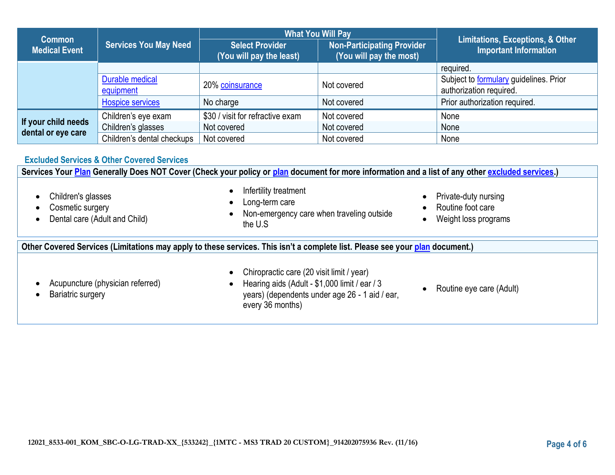| <b>Common</b><br><b>Medical Event</b>     |                              |                                                    | <b>What You Will Pay</b>                                     |                                                                          |  |
|-------------------------------------------|------------------------------|----------------------------------------------------|--------------------------------------------------------------|--------------------------------------------------------------------------|--|
|                                           | <b>Services You May Need</b> | <b>Select Provider</b><br>(You will pay the least) | <b>Non-Participating Provider</b><br>(You will pay the most) | Limitations, Exceptions, & Other<br><b>Important Information</b>         |  |
|                                           |                              |                                                    |                                                              | required.                                                                |  |
|                                           | Durable medical<br>equipment | 20% coinsurance                                    | Not covered                                                  | Subject to <b>formulary</b> guidelines. Prior<br>authorization required. |  |
|                                           | <b>Hospice services</b>      | No charge                                          | Not covered                                                  | Prior authorization required.                                            |  |
| If your child needs<br>dental or eye care | Children's eye exam          | \$30 / visit for refractive exam                   | Not covered                                                  | None                                                                     |  |
|                                           | Children's glasses           | Not covered                                        | Not covered                                                  | None                                                                     |  |
|                                           | Children's dental checkups   | Not covered                                        | Not covered                                                  | None                                                                     |  |

## **Excluded Services & Other Covered Services**

**Services Your [Plan](https://www.healthcare.gov/sbc-glossary/#plan) Generally Does NOT Cover (Check your policy or [plan](https://www.healthcare.gov/sbc-glossary/#plan) document for more information and a list of any other [excluded services.](https://www.healthcare.gov/sbc-glossary/#excluded-services))** • Children's glasses Cosmetic surgery • Dental care (Adult and Child) • Infertility treatment Long-term care • Non-emergency care when traveling outside the U.S • Private-duty nursing • Routine foot care • Weight loss programs **Other Covered Services (Limitations may apply to these services. This isn't a complete list. Please see your [plan](https://www.healthcare.gov/sbc-glossary/#plan) document.)** • Acupuncture (physician referred) • Bariatric surgery • Chiropractic care (20 visit limit / year) • Hearing aids (Adult - \$1,000 limit / ear / 3 years) (dependents under age 26 - 1 aid / ear, every 36 months) • Routine eye care (Adult)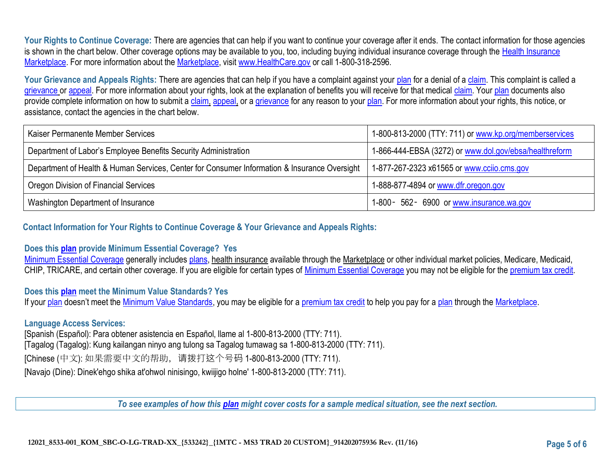Your Rights to Continue Coverage: There are agencies that can help if you want to continue your coverage after it ends. The contact information for those agencies is shown in the chart below. Other coverage options may be available to you, too, including buying individual insurance coverage through the Health Insurance [Marketplace.](https://www.healthcare.gov/sbc-glossary/#marketplace) For more information about the [Marketplace,](https://www.healthcare.gov/sbc-glossary/#marketplace) visit [www.HealthCare.gov](http://www.healthcare.gov/) or call 1-800-318-2596.

Your Grievance and Appeals Rights: There are agencies that can help if you have a complaint against your [plan](https://www.healthcare.gov/sbc-glossary/#plan) for a denial of a [claim.](https://www.healthcare.gov/sbc-glossary/#claim) This complaint is called a [grievance](https://www.healthcare.gov/sbc-glossary/#grievance) or [appeal.](https://www.healthcare.gov/sbc-glossary/#appeal) For more information about your rights, look at the explanation of benefits you will receive for that medical [claim.](https://www.healthcare.gov/sbc-glossary/#claim) Your [plan](https://www.healthcare.gov/sbc-glossary/#plan) documents also provide complete information on how to submit a [claim,](https://www.healthcare.gov/sbc-glossary/#claim) [appeal,](https://www.healthcare.gov/sbc-glossary/#appeal) or a [grievance](https://www.healthcare.gov/sbc-glossary/#grievance) for any reason to your [plan.](https://www.healthcare.gov/sbc-glossary/#plan) For more information about your rights, this notice, or assistance, contact the agencies in the chart below.

| Kaiser Permanente Member Services                                                            | 1-800-813-2000 (TTY: 711) or www.kp.org/memberservices |
|----------------------------------------------------------------------------------------------|--------------------------------------------------------|
| Department of Labor's Employee Benefits Security Administration                              | 1-866-444-EBSA (3272) or www.dol.gov/ebsa/healthreform |
| Department of Health & Human Services, Center for Consumer Information & Insurance Oversight | 1-877-267-2323 x61565 or www.ccijo.cms.gov             |
| Oregon Division of Financial Services                                                        | 1-888-877-4894 or www.dfr.oregon.gov                   |
| Washington Department of Insurance                                                           | 1-800 - 562 - 6900 or www.insurance.wa.gov             |

**Contact Information for Your Rights to Continue Coverage & Your Grievance and Appeals Rights:**

## **Does this [plan](https://www.healthcare.gov/sbc-glossary/#plan) provide Minimum Essential Coverage? Yes**

[Minimum Essential Coverage](https://www.healthcare.gov/sbc-glossary/#minimum-essential-coverage) generally include[s plans,](https://www.healthcare.gov/sbc-glossary/#plan) health insurance available through the Marketplace or other individual market policies, Medicare, Medicaid, CHIP, TRICARE, and certain other coverage. If you are eligible for certain types of [Minimum Essential Coverage](https://www.healthcare.gov/sbc-glossary/#minimum-essential-coverage) you may not be eligible for the [premium tax credit.](https://www.healthcare.gov/sbc-glossary/#premium-tax-credits)

## **Does this [plan](https://www.healthcare.gov/sbc-glossary/#plan) meet the Minimum Value Standards? Yes**

If your [plan](https://www.healthcare.gov/sbc-glossary/#plan) doesn't meet the [Minimum Value Standards,](https://www.healthcare.gov/sbc-glossary/#minimum-value-standard) you may be eligible for a [premium tax credit](https://www.healthcare.gov/sbc-glossary/#premium-tax-credits) to help you pay for a [plan](https://www.healthcare.gov/sbc-glossary/#plan) through the [Marketplace.](https://www.healthcare.gov/sbc-glossary/#marketplace)

#### **Language Access Services:**

[Spanish (Español): Para obtener asistencia en Español, llame al 1-800-813-2000 (TTY: 711). [Tagalog (Tagalog): Kung kailangan ninyo ang tulong sa Tagalog tumawag sa 1-800-813-2000 (TTY: 711). [Chinese (中文): 如果需要中文的帮助,请拨打这个号码 1-800-813-2000 (TTY: 711). [Navajo (Dine): Dinek'ehgo shika at'ohwol ninisingo, kwiijigo holne' 1-800-813-2000 (TTY: 711).

*To see examples of how this [plan](https://www.healthcare.gov/sbc-glossary/#plan) might cover costs for a sample medical situation, see the next section.*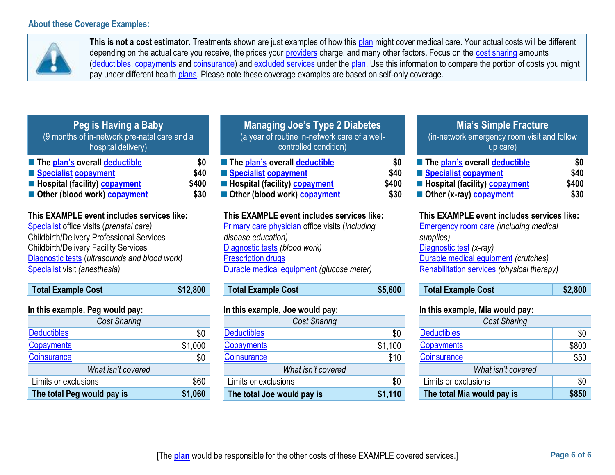**The total Peg would pay is \$1,060**



This is not a cost estimator. Treatments shown are just examples of how thi[s plan](https://www.healthcare.gov/sbc-glossary/#plan) might cover medical care. Your actual costs will be different depending on the actual care you receive, the prices your [providers](https://www.healthcare.gov/sbc-glossary/#provider) charge, and many other factors. Focus on the [cost sharing](https://www.healthcare.gov/sbc-glossary/#cost-sharing) amounts [\(deductibles,](https://www.healthcare.gov/sbc-glossary/#deductible) [copayments](https://www.healthcare.gov/sbc-glossary/#copayment) and [coinsurance\)](https://www.healthcare.gov/sbc-glossary/#coinsurance) and [excluded services](https://www.healthcare.gov/sbc-glossary/#excluded-services) under the [plan.](https://www.healthcare.gov/sbc-glossary/#plan) Use this information to compare the portion of costs you might pay under different health [plans.](https://www.healthcare.gov/sbc-glossary/#plan) Please note these coverage examples are based on self-only coverage.

| Peg is Having a Baby<br>(9 months of in-network pre-natal care and a<br>hospital delivery)                                                                                                                                                                                   |                              | <b>Managing Joe's Type 2 Diabetes</b><br>(a year of routine in-network care of a well-<br>controlled condition)                                                                                                                       |                              | <b>Mia's Simple Fracture</b><br>(in-network emergency room visit and follow<br>up care)                                                                                                                                   |                              |
|------------------------------------------------------------------------------------------------------------------------------------------------------------------------------------------------------------------------------------------------------------------------------|------------------------------|---------------------------------------------------------------------------------------------------------------------------------------------------------------------------------------------------------------------------------------|------------------------------|---------------------------------------------------------------------------------------------------------------------------------------------------------------------------------------------------------------------------|------------------------------|
| The plan's overall deductible<br>Specialist copayment<br>Hospital (facility) copayment<br>Other (blood work) copayment                                                                                                                                                       | \$0<br>\$40<br>\$400<br>\$30 | The plan's overall deductible<br>Specialist copayment<br>Hospital (facility) copayment<br>Other (blood work) copayment                                                                                                                | \$0<br>\$40<br>\$400<br>\$30 | The plan's overall deductible<br>Specialist copayment<br>Hospital (facility) copayment<br>Other (x-ray) copayment                                                                                                         | \$0<br>\$40<br>\$400<br>\$30 |
| This EXAMPLE event includes services like:<br>Specialist office visits (prenatal care)<br><b>Childbirth/Delivery Professional Services</b><br><b>Childbirth/Delivery Facility Services</b><br>Diagnostic tests (ultrasounds and blood work)<br>Specialist visit (anesthesia) |                              | This EXAMPLE event includes services like:<br><b>Primary care physician office visits (including</b><br>disease education)<br>Diagnostic tests (blood work)<br><b>Prescription drugs</b><br>Durable medical equipment (glucose meter) |                              | This EXAMPLE event includes services like:<br><b>Emergency room care (including medical</b><br>supplies)<br>Diagnostic test (x-ray)<br>Durable medical equipment (crutches)<br>Rehabilitation services (physical therapy) |                              |
| <b>Total Example Cost</b>                                                                                                                                                                                                                                                    | \$12,800                     | <b>Total Example Cost</b>                                                                                                                                                                                                             | \$5,600                      | <b>Total Example Cost</b>                                                                                                                                                                                                 | \$2,800                      |
| In this example, Peg would pay:                                                                                                                                                                                                                                              |                              | In this example, Joe would pay:                                                                                                                                                                                                       |                              | In this example, Mia would pay:                                                                                                                                                                                           |                              |
| Cost Sharing                                                                                                                                                                                                                                                                 |                              | <b>Cost Sharing</b>                                                                                                                                                                                                                   |                              | <b>Cost Sharing</b>                                                                                                                                                                                                       |                              |
| <b>Deductibles</b>                                                                                                                                                                                                                                                           | \$0                          | <b>Deductibles</b>                                                                                                                                                                                                                    | \$0                          | <b>Deductibles</b>                                                                                                                                                                                                        | \$0                          |
| <b>Copayments</b>                                                                                                                                                                                                                                                            | \$1,000                      | <b>Copayments</b>                                                                                                                                                                                                                     | \$1,100                      | Copayments                                                                                                                                                                                                                | \$800                        |
| <b>Coinsurance</b>                                                                                                                                                                                                                                                           | \$0                          | Coinsurance                                                                                                                                                                                                                           | \$10                         | Coinsurance                                                                                                                                                                                                               | \$50                         |
| What isn't covered                                                                                                                                                                                                                                                           |                              | What isn't covered                                                                                                                                                                                                                    |                              | What isn't covered                                                                                                                                                                                                        |                              |
| Limits or exclusions                                                                                                                                                                                                                                                         | \$60                         | Limits or exclusions                                                                                                                                                                                                                  | \$0                          | Limits or exclusions                                                                                                                                                                                                      | \$0                          |

**The total Joe would pay is \$1,110**

**The total Mia would pay is \$850**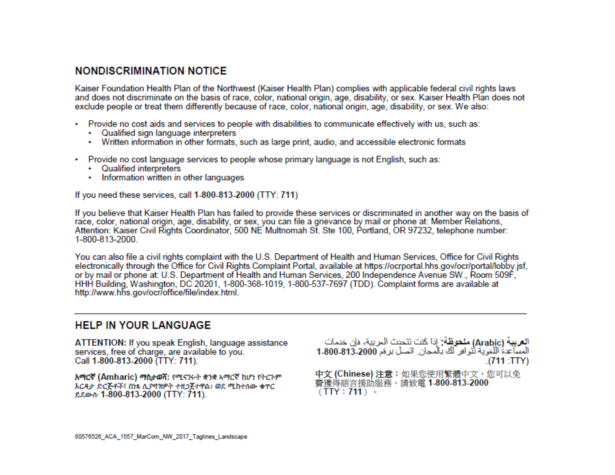# **NONDISCRIMINATION NOTICE**

Kaiser Foundation Health Plan of the Northwest (Kaiser Health Plan) complies with applicable federal civil rights laws and does not discriminate on the basis of race, color, national origin, age, disability, or sex. Kaiser Health Plan does not exclude people or treat them differently because of race, color, national origin, age, disability, or sex. We also:

- Provide no cost aids and services to people with disabilities to communicate effectively with us, such as:
	- Qualified sign language interpreters
	- Written information in other formats, such as large print, audio, and accessible electronic formats
- Provide no cost language services to people whose primary language is not English, such as:
	- Qualified interpreters
	- Information written in other languages

If you need these services, call 1-800-813-2000 (TTY: 711)

If you believe that Kaiser Health Plan has failed to provide these services or discriminated in another way on the basis of race, color, national origin, age, disability, or sex, you can file a grievance by mail or phone at: Member Relations, Attention: Kaiser Civil Rights Coordinator, 500 NE Multnomah St. Ste 100, Portland, OR 97232, telephone number: 1-800-813-2000.

You can also file a civil rights complaint with the U.S. Department of Health and Human Services, Office for Civil Rights electronically through the Office for Civil Rights Complaint Portal, available at https://ocrportal.hhs.gov/ocr/portal/lobby.jsf. or by mail or phone at: U.S. Department of Health and Human Services, 200 Independence Avenue SW., Room 509F, HHH Building, Washington, DC 20201, 1-800-368-1019, 1-800-537-7697 (TDD). Complaint forms are available at http://www.hhs.gov/ocr/office/file/index.html.

## **HELP IN YOUR LANGUAGE**

ATTENTION: If you speak English, language assistance services, free of charge, are available to you. Call 1-800-813-2000 (TTY: 711).

አማርኛ (Amharic) ማስታወሻ: የሚናገሩት ቋንቋ አማርኛ ከሆነ የትርጉም እርዳታ ድርጅቶች፣ በነጻ ሲያባዝዎት ተዘጋጀተዋል፡ ወደ ሚከተለው ቁጥር ይደውሱ 1-800-813-2000 (TTY: 711).

ا**لعربية (Arabi**c) **ملحوظة:** إذا كنت تتحدث الحريبة، فإن خدمات المساعدة اللغوية نُتَوافر لَكَ بِالْمجانِ. اتصل برعَم 2000-813-1-800 (711: TTY).

中文 (Chinese) 注意:如果您使用繁體中文,您可以免 費獲得語言援助服務。請致電 1-800-813-2000  $(TTY: 711)$